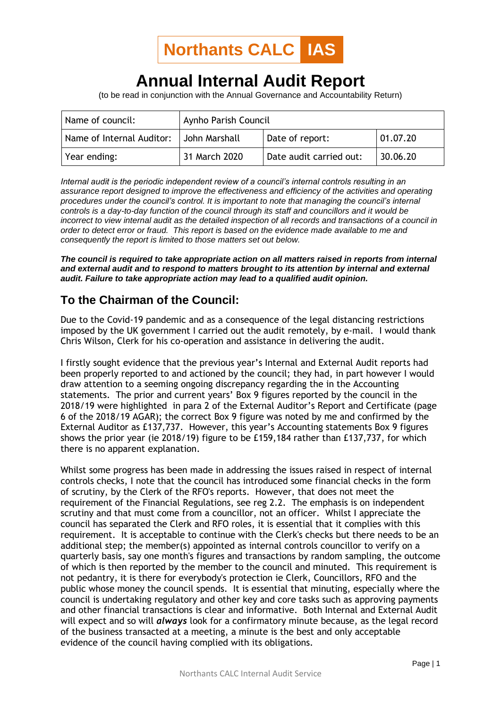

## **Annual Internal Audit Report**

(to be read in conjunction with the Annual Governance and Accountability Return)

| Name of council:          | Aynho Parish Council |                         |          |
|---------------------------|----------------------|-------------------------|----------|
| Name of Internal Auditor: | I John Marshall      | Date of report:         | 01.07.20 |
| Year ending:              | 31 March 2020        | Date audit carried out: | 30.06.20 |

*Internal audit is the periodic independent review of a council's internal controls resulting in an assurance report designed to improve the effectiveness and efficiency of the activities and operating procedures under the council's control. It is important to note that managing the council's internal controls is a day-to-day function of the council through its staff and councillors and it would be incorrect to view internal audit as the detailed inspection of all records and transactions of a council in order to detect error or fraud. This report is based on the evidence made available to me and consequently the report is limited to those matters set out below.*

*The council is required to take appropriate action on all matters raised in reports from internal and external audit and to respond to matters brought to its attention by internal and external audit. Failure to take appropriate action may lead to a qualified audit opinion.*

## **To the Chairman of the Council:**

Due to the Covid-19 pandemic and as a consequence of the legal distancing restrictions imposed by the UK government I carried out the audit remotely, by e-mail. I would thank Chris Wilson, Clerk for his co-operation and assistance in delivering the audit.

I firstly sought evidence that the previous year's Internal and External Audit reports had been properly reported to and actioned by the council; they had, in part however I would draw attention to a seeming ongoing discrepancy regarding the in the Accounting statements. The prior and current years' Box 9 figures reported by the council in the 2018/19 were highlighted in para 2 of the External Auditor's Report and Certificate (page 6 of the 2018/19 AGAR); the correct Box 9 figure was noted by me and confirmed by the External Auditor as £137,737. However, this year's Accounting statements Box 9 figures shows the prior year (ie 2018/19) figure to be £159,184 rather than £137,737, for which there is no apparent explanation.

Whilst some progress has been made in addressing the issues raised in respect of internal controls checks, I note that the council has introduced some financial checks in the form of scrutiny, by the Clerk of the RFO's reports. However, that does not meet the requirement of the Financial Regulations, see reg 2.2. The emphasis is on independent scrutiny and that must come from a councillor, not an officer. Whilst I appreciate the council has separated the Clerk and RFO roles, it is essential that it complies with this requirement. It is acceptable to continue with the Clerk's checks but there needs to be an additional step; the member(s) appointed as internal controls councillor to verify on a quarterly basis, say one month's figures and transactions by random sampling, the outcome of which is then reported by the member to the council and minuted. This requirement is not pedantry, it is there for everybody's protection ie Clerk, Councillors, RFO and the public whose money the council spends. It is essential that minuting, especially where the council is undertaking regulatory and other key and core tasks such as approving payments and other financial transactions is clear and informative. Both Internal and External Audit will expect and so will *always* look for a confirmatory minute because, as the legal record of the business transacted at a meeting, a minute is the best and only acceptable evidence of the council having complied with its obligations.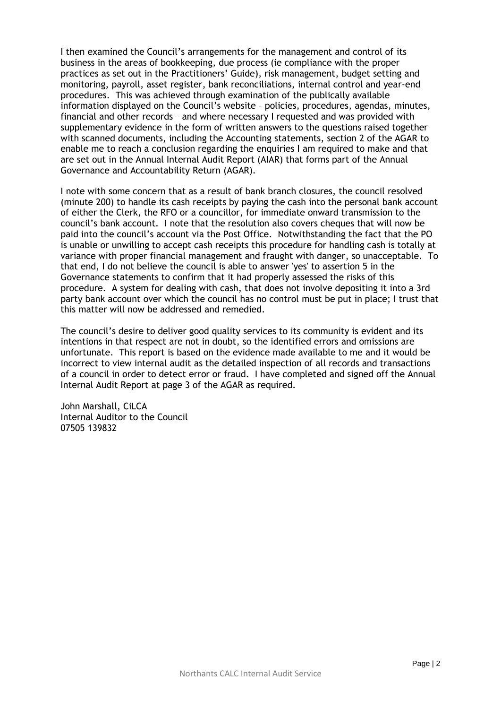I then examined the Council's arrangements for the management and control of its business in the areas of bookkeeping, due process (ie compliance with the proper practices as set out in the Practitioners' Guide), risk management, budget setting and monitoring, payroll, asset register, bank reconciliations, internal control and year-end procedures. This was achieved through examination of the publically available information displayed on the Council's website – policies, procedures, agendas, minutes, financial and other records – and where necessary I requested and was provided with supplementary evidence in the form of written answers to the questions raised together with scanned documents, including the Accounting statements, section 2 of the AGAR to enable me to reach a conclusion regarding the enquiries I am required to make and that are set out in the Annual Internal Audit Report (AIAR) that forms part of the Annual Governance and Accountability Return (AGAR).

I note with some concern that as a result of bank branch closures, the council resolved (minute 200) to handle its cash receipts by paying the cash into the personal bank account of either the Clerk, the RFO or a councillor, for immediate onward transmission to the council's bank account. I note that the resolution also covers cheques that will now be paid into the council's account via the Post Office. Notwithstanding the fact that the PO is unable or unwilling to accept cash receipts this procedure for handling cash is totally at variance with proper financial management and fraught with danger, so unacceptable. To that end, I do not believe the council is able to answer 'yes' to assertion 5 in the Governance statements to confirm that it had properly assessed the risks of this procedure. A system for dealing with cash, that does not involve depositing it into a 3rd party bank account over which the council has no control must be put in place; I trust that this matter will now be addressed and remedied.

The council's desire to deliver good quality services to its community is evident and its intentions in that respect are not in doubt, so the identified errors and omissions are unfortunate. This report is based on the evidence made available to me and it would be incorrect to view internal audit as the detailed inspection of all records and transactions of a council in order to detect error or fraud. I have completed and signed off the Annual Internal Audit Report at page 3 of the AGAR as required.

John Marshall, CiLCA Internal Auditor to the Council 07505 139832